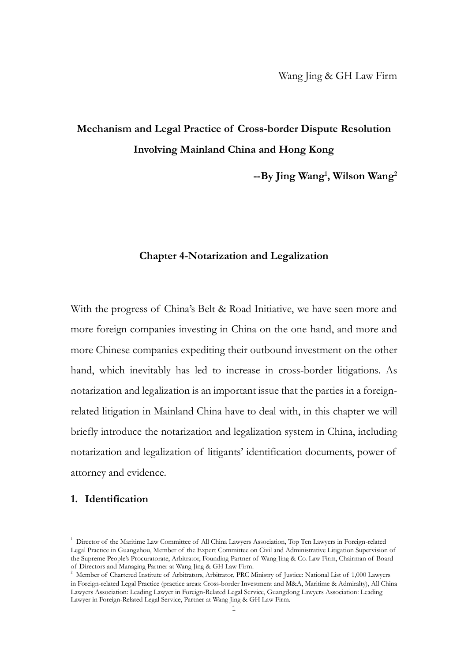# **Mechanism and Legal Practice of Cross-border Dispute Resolution Involving Mainland China and Hong Kong**

**--By Jing Wang<sup>1</sup> , Wilson Wang<sup>2</sup>**

## **Chapter 4-Notarization and Legalization**

With the progress of China's Belt & Road Initiative, we have seen more and more foreign companies investing in China on the one hand, and more and more Chinese companies expediting their outbound investment on the other hand, which inevitably has led to increase in cross-border litigations. As notarization and legalization is an important issue that the parties in a foreignrelated litigation in Mainland China have to deal with, in this chapter we will briefly introduce the notarization and legalization system in China, including notarization and legalization of litigants' identification documents, power of attorney and evidence.

#### **1. Identification**

<sup>&</sup>lt;sup>1</sup> Director of the Maritime Law Committee of All China Lawyers Association, Top Ten Lawyers in Foreign-related Legal Practice in Guangzhou, Member of the Expert Committee on Civil and Administrative Litigation Supervision of the Supreme People's Procuratorate, Arbitrator, Founding Partner of Wang Jing & Co. Law Firm, Chairman of Board of Directors and Managing Partner at Wang Jing & GH Law Firm.

<sup>&</sup>lt;sup>2</sup> Member of Chartered Institute of Arbitrators, Arbitrator, PRC Ministry of Justice: National List of 1,000 Lawyers in Foreign-related Legal Practice (practice areas: Cross-border Investment and M&A, Maritime & Admiralty), All China Lawyers Association: Leading Lawyer in Foreign-Related Legal Service, Guangdong Lawyers Association: Leading Lawyer in Foreign-Related Legal Service, Partner at Wang Jing & GH Law Firm.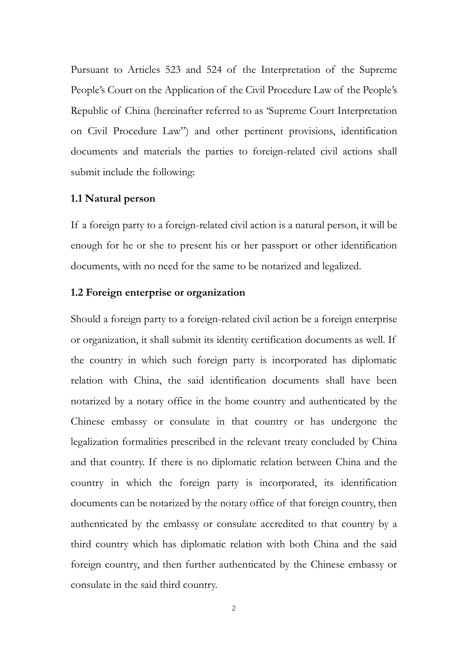Pursuant to Articles 523 and 524 of the Interpretation of the Supreme People's Court on the Application of the Civil Procedure Law of the People's Republic of China (hereinafter referred to as 'Supreme Court Interpretation on Civil Procedure Law") and other pertinent provisions, identification documents and materials the parties to foreign-related civil actions shall submit include the following:

#### **1.1 Natural person**

If a foreign party to a foreign-related civil action is a natural person, it will be enough for he or she to present his or her passport or other identification documents, with no need for the same to be notarized and legalized.

### **1.2 Foreign enterprise or organization**

Should a foreign party to a foreign-related civil action be a foreign enterprise or organization, it shall submit its identity certification documents as well. If the country in which such foreign party is incorporated has diplomatic relation with China, the said identification documents shall have been notarized by a notary office in the home country and authenticated by the Chinese embassy or consulate in that country or has undergone the legalization formalities prescribed in the relevant treaty concluded by China and that country. If there is no diplomatic relation between China and the country in which the foreign party is incorporated, its identification documents can be notarized by the notary office of that foreign country, then authenticated by the embassy or consulate accredited to that country by a third country which has diplomatic relation with both China and the said foreign country, and then further authenticated by the Chinese embassy or consulate in the said third country.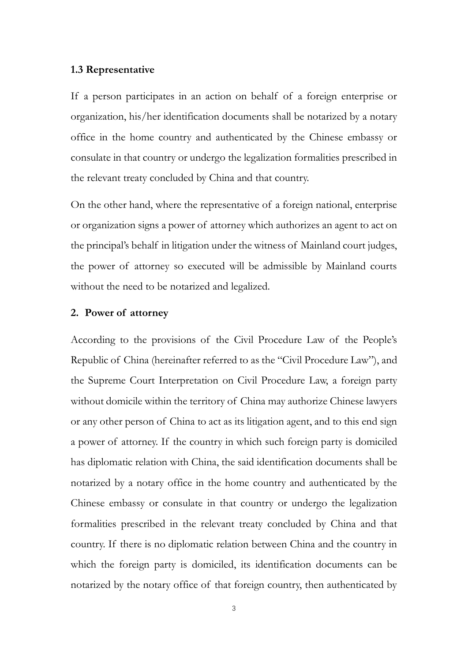### **1.3 Representative**

If a person participates in an action on behalf of a foreign enterprise or organization, his/her identification documents shall be notarized by a notary office in the home country and authenticated by the Chinese embassy or consulate in that country or undergo the legalization formalities prescribed in the relevant treaty concluded by China and that country.

On the other hand, where the representative of a foreign national, enterprise or organization signs a power of attorney which authorizes an agent to act on the principal's behalf in litigation under the witness of Mainland court judges, the power of attorney so executed will be admissible by Mainland courts without the need to be notarized and legalized.

#### **2. Power of attorney**

According to the provisions of the Civil Procedure Law of the People's Republic of China (hereinafter referred to as the "Civil Procedure Law"), and the Supreme Court Interpretation on Civil Procedure Law, a foreign party without domicile within the territory of China may authorize Chinese lawyers or any other person of China to act as its litigation agent, and to this end sign a power of attorney. If the country in which such foreign party is domiciled has diplomatic relation with China, the said identification documents shall be notarized by a notary office in the home country and authenticated by the Chinese embassy or consulate in that country or undergo the legalization formalities prescribed in the relevant treaty concluded by China and that country. If there is no diplomatic relation between China and the country in which the foreign party is domiciled, its identification documents can be notarized by the notary office of that foreign country, then authenticated by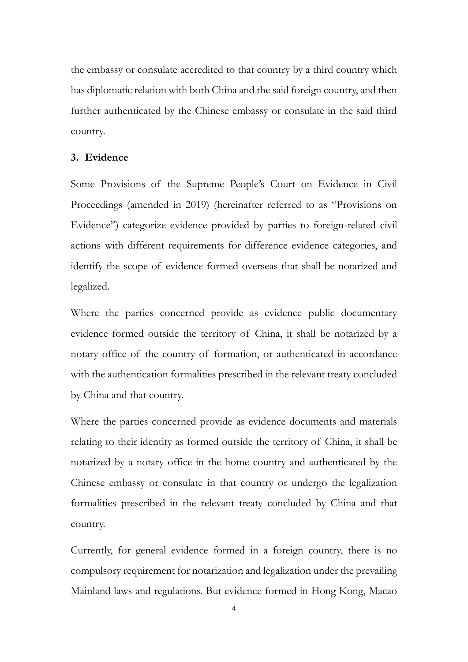the embassy or consulate accredited to that country by a third country which has diplomatic relation with both China and the said foreign country, and then further authenticated by the Chinese embassy or consulate in the said third country.

#### **3. Evidence**

Some Provisions of the Supreme People's Court on Evidence in Civil Proceedings (amended in 2019) (hereinafter referred to as "Provisions on Evidence") categorize evidence provided by parties to foreign-related civil actions with different requirements for difference evidence categories, and identify the scope of evidence formed overseas that shall be notarized and legalized.

Where the parties concerned provide as evidence public documentary evidence formed outside the territory of China, it shall be notarized by a notary office of the country of formation, or authenticated in accordance with the authentication formalities prescribed in the relevant treaty concluded by China and that country.

Where the parties concerned provide as evidence documents and materials relating to their identity as formed outside the territory of China, it shall be notarized by a notary office in the home country and authenticated by the Chinese embassy or consulate in that country or undergo the legalization formalities prescribed in the relevant treaty concluded by China and that country.

Currently, for general evidence formed in a foreign country, there is no compulsory requirement for notarization and legalization under the prevailing Mainland laws and regulations. But evidence formed in Hong Kong, Macao